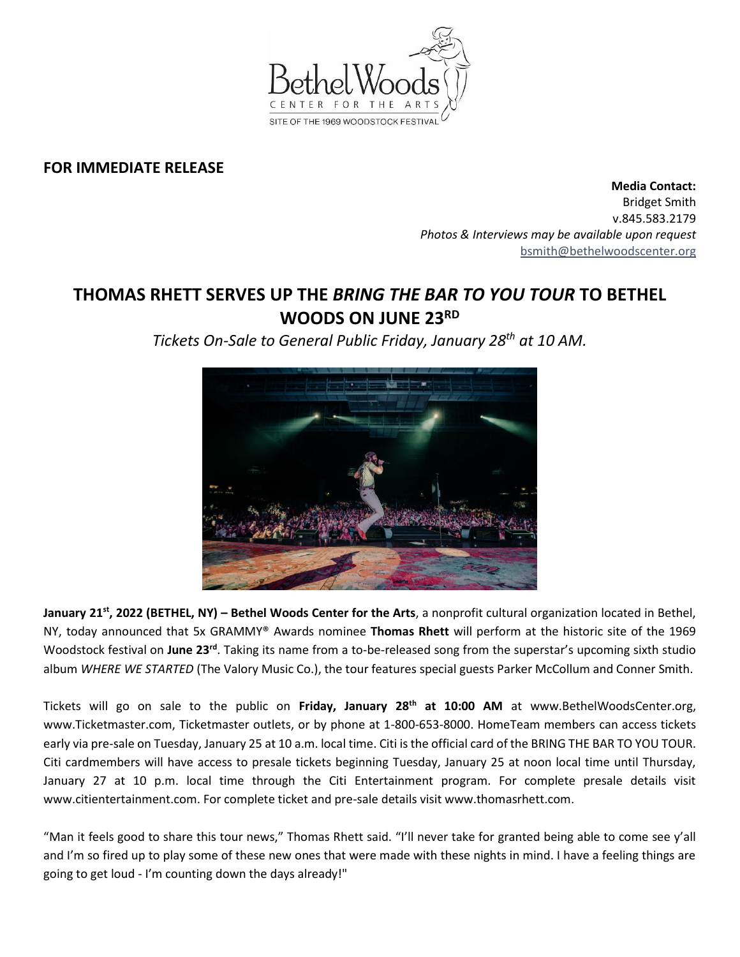

## **FOR IMMEDIATE RELEASE**

**Media Contact:**  Bridget Smith v.845.583.2179 *Photos & Interviews may be available upon request* [bsmith@bethelwoodscenter.org](mailto:bsmith@bethelwoodscenter.org)

## **THOMAS RHETT SERVES UP THE** *BRING THE BAR TO YOU TOUR* **TO BETHEL WOODS ON JUNE 23RD**

*Tickets On-Sale to General Public Friday, January 28th at 10 AM.*



**January 21st , 2022 (BETHEL, NY) – Bethel Woods Center for the Arts**, a nonprofit cultural organization located in Bethel, NY, today announced that 5x GRAMMY® Awards nominee **Thomas Rhett** will perform at the historic site of the 1969 Woodstock festival on June 23<sup>rd</sup>. Taking its name from a to-be-released song from the superstar's upcoming sixth studio album *WHERE WE STARTED* (The Valory Music Co.), the tour features special guests Parker McCollum and Conner Smith.

Tickets will go on sale to the public on **Friday, January 28th at 10:00 AM** at www.BethelWoodsCenter.org, www.Ticketmaster.com, Ticketmaster outlets, or by phone at 1-800-653-8000. HomeTeam members can access tickets early via pre-sale on Tuesday, January 25 at 10 a.m. local time. Citi is the official card of the BRING THE BAR TO YOU TOUR. Citi cardmembers will have access to presale tickets beginning Tuesday, January 25 at noon local time until Thursday, January 27 at 10 p.m. local time through the Citi Entertainment program. For complete presale details visit www.citientertainment.com. For complete ticket and pre-sale details visit www.thomasrhett.com.

"Man it feels good to share this tour news," Thomas Rhett said. "I'll never take for granted being able to come see y'all and I'm so fired up to play some of these new ones that were made with these nights in mind. I have a feeling things are going to get loud - I'm counting down the days already!"